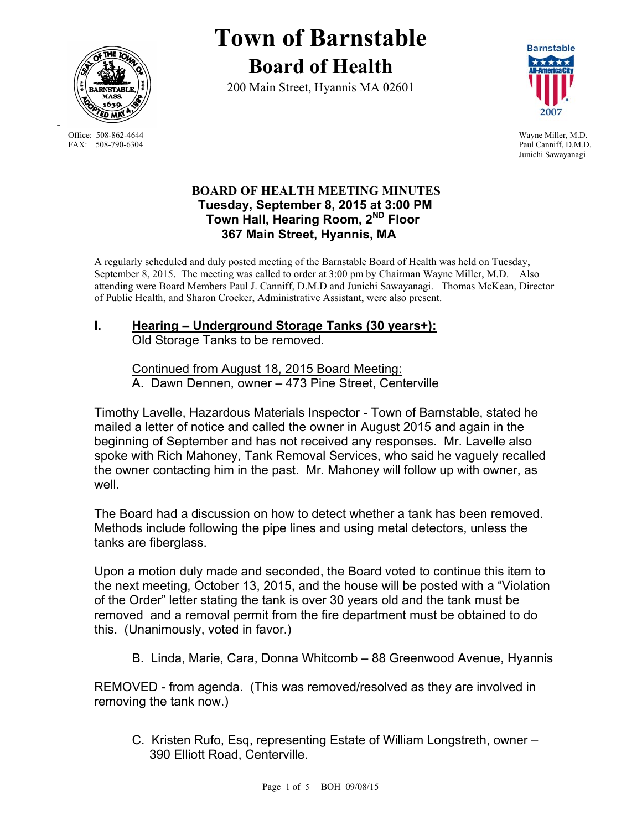

Office: 508-862-4644 Wayne Miller, M.D.<br>
FAX: 508-790-6304 Paul Canniff. D.M.D

-

# **Town of Barnstable Board of Health**

200 Main Street, Hyannis MA 02601



Paul Canniff, D.M.D. Junichi Sawayanagi

## **BOARD OF HEALTH MEETING MINUTES Tuesday, September 8, 2015 at 3:00 PM Town Hall, Hearing Room, 2ND Floor 367 Main Street, Hyannis, MA**

A regularly scheduled and duly posted meeting of the Barnstable Board of Health was held on Tuesday, September 8, 2015. The meeting was called to order at 3:00 pm by Chairman Wayne Miller, M.D. Also attending were Board Members Paul J. Canniff, D.M.D and Junichi Sawayanagi. Thomas McKean, Director of Public Health, and Sharon Crocker, Administrative Assistant, were also present.

#### **I. Hearing – Underground Storage Tanks (30 years+):**  Old Storage Tanks to be removed.

Continued from August 18, 2015 Board Meeting: A. Dawn Dennen, owner – 473 Pine Street, Centerville

Timothy Lavelle, Hazardous Materials Inspector - Town of Barnstable, stated he mailed a letter of notice and called the owner in August 2015 and again in the beginning of September and has not received any responses. Mr. Lavelle also spoke with Rich Mahoney, Tank Removal Services, who said he vaguely recalled the owner contacting him in the past. Mr. Mahoney will follow up with owner, as well.

The Board had a discussion on how to detect whether a tank has been removed. Methods include following the pipe lines and using metal detectors, unless the tanks are fiberglass.

Upon a motion duly made and seconded, the Board voted to continue this item to the next meeting, October 13, 2015, and the house will be posted with a "Violation of the Order" letter stating the tank is over 30 years old and the tank must be removed and a removal permit from the fire department must be obtained to do this. (Unanimously, voted in favor.)

B. Linda, Marie, Cara, Donna Whitcomb – 88 Greenwood Avenue, Hyannis

REMOVED - from agenda. (This was removed/resolved as they are involved in removing the tank now.)

 C. Kristen Rufo, Esq, representing Estate of William Longstreth, owner – 390 Elliott Road, Centerville.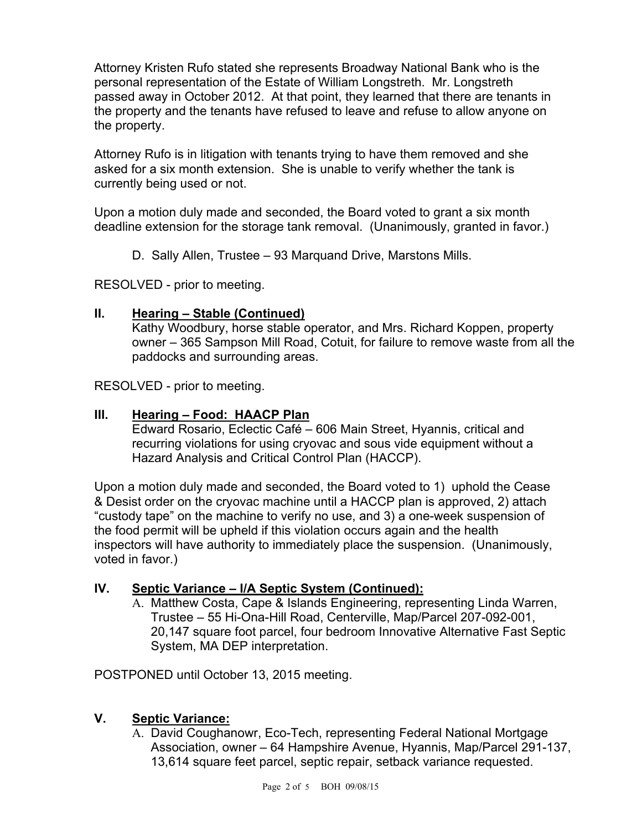Attorney Kristen Rufo stated she represents Broadway National Bank who is the personal representation of the Estate of William Longstreth. Mr. Longstreth passed away in October 2012. At that point, they learned that there are tenants in the property and the tenants have refused to leave and refuse to allow anyone on the property.

Attorney Rufo is in litigation with tenants trying to have them removed and she asked for a six month extension. She is unable to verify whether the tank is currently being used or not.

Upon a motion duly made and seconded, the Board voted to grant a six month deadline extension for the storage tank removal. (Unanimously, granted in favor.)

D. Sally Allen, Trustee – 93 Marquand Drive, Marstons Mills.

RESOLVED - prior to meeting.

### **II. Hearing – Stable (Continued)**

Kathy Woodbury, horse stable operator, and Mrs. Richard Koppen, property owner – 365 Sampson Mill Road, Cotuit, for failure to remove waste from all the paddocks and surrounding areas.

RESOLVED - prior to meeting.

### **III. Hearing – Food: HAACP Plan**

Edward Rosario, Eclectic Café – 606 Main Street, Hyannis, critical and recurring violations for using cryovac and sous vide equipment without a Hazard Analysis and Critical Control Plan (HACCP).

Upon a motion duly made and seconded, the Board voted to 1) uphold the Cease & Desist order on the cryovac machine until a HACCP plan is approved, 2) attach "custody tape" on the machine to verify no use, and 3) a one-week suspension of the food permit will be upheld if this violation occurs again and the health inspectors will have authority to immediately place the suspension. (Unanimously, voted in favor.)

### **IV. Septic Variance – I/A Septic System (Continued):**

A. Matthew Costa, Cape & Islands Engineering, representing Linda Warren, Trustee – 55 Hi-Ona-Hill Road, Centerville, Map/Parcel 207-092-001, 20,147 square foot parcel, four bedroom Innovative Alternative Fast Septic System, MA DEP interpretation.

POSTPONED until October 13, 2015 meeting.

### **V. Septic Variance:**

A. David Coughanowr, Eco-Tech, representing Federal National Mortgage Association, owner – 64 Hampshire Avenue, Hyannis, Map/Parcel 291-137, 13,614 square feet parcel, septic repair, setback variance requested.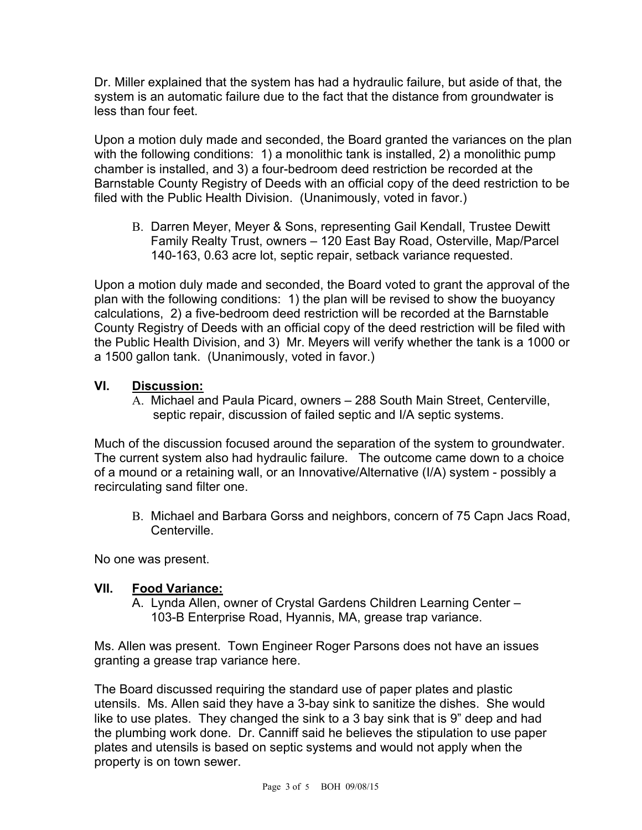Dr. Miller explained that the system has had a hydraulic failure, but aside of that, the system is an automatic failure due to the fact that the distance from groundwater is less than four feet.

Upon a motion duly made and seconded, the Board granted the variances on the plan with the following conditions: 1) a monolithic tank is installed, 2) a monolithic pump chamber is installed, and 3) a four-bedroom deed restriction be recorded at the Barnstable County Registry of Deeds with an official copy of the deed restriction to be filed with the Public Health Division. (Unanimously, voted in favor.)

B. Darren Meyer, Meyer & Sons, representing Gail Kendall, Trustee Dewitt Family Realty Trust, owners – 120 East Bay Road, Osterville, Map/Parcel 140-163, 0.63 acre lot, septic repair, setback variance requested.

Upon a motion duly made and seconded, the Board voted to grant the approval of the plan with the following conditions: 1) the plan will be revised to show the buoyancy calculations, 2) a five-bedroom deed restriction will be recorded at the Barnstable County Registry of Deeds with an official copy of the deed restriction will be filed with the Public Health Division, and 3) Mr. Meyers will verify whether the tank is a 1000 or a 1500 gallon tank. (Unanimously, voted in favor.)

## **VI. Discussion:**

A. Michael and Paula Picard, owners – 288 South Main Street, Centerville, septic repair, discussion of failed septic and I/A septic systems.

Much of the discussion focused around the separation of the system to groundwater. The current system also had hydraulic failure. The outcome came down to a choice of a mound or a retaining wall, or an Innovative/Alternative (I/A) system - possibly a recirculating sand filter one.

B. Michael and Barbara Gorss and neighbors, concern of 75 Capn Jacs Road, **Centerville** 

No one was present.

### **VII. Food Variance:**

A. Lynda Allen, owner of Crystal Gardens Children Learning Center – 103-B Enterprise Road, Hyannis, MA, grease trap variance.

Ms. Allen was present. Town Engineer Roger Parsons does not have an issues granting a grease trap variance here.

The Board discussed requiring the standard use of paper plates and plastic utensils. Ms. Allen said they have a 3-bay sink to sanitize the dishes. She would like to use plates. They changed the sink to a 3 bay sink that is 9" deep and had the plumbing work done. Dr. Canniff said he believes the stipulation to use paper plates and utensils is based on septic systems and would not apply when the property is on town sewer.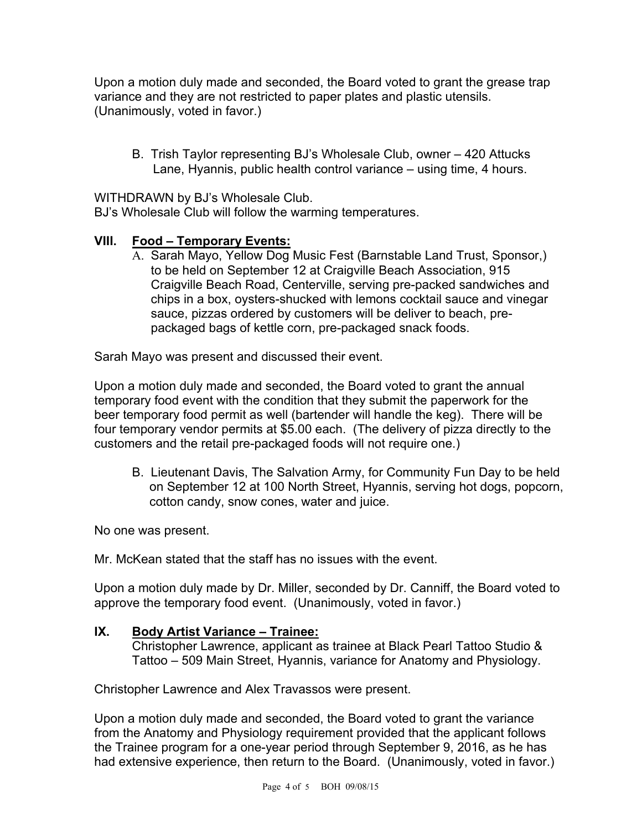Upon a motion duly made and seconded, the Board voted to grant the grease trap variance and they are not restricted to paper plates and plastic utensils. (Unanimously, voted in favor.)

B. Trish Taylor representing BJ's Wholesale Club, owner – 420 Attucks Lane, Hyannis, public health control variance – using time, 4 hours.

WITHDRAWN by BJ's Wholesale Club.

BJ's Wholesale Club will follow the warming temperatures.

## **VIII. Food – Temporary Events:**

A. Sarah Mayo, Yellow Dog Music Fest (Barnstable Land Trust, Sponsor,) to be held on September 12 at Craigville Beach Association, 915 Craigville Beach Road, Centerville, serving pre-packed sandwiches and chips in a box, oysters-shucked with lemons cocktail sauce and vinegar sauce, pizzas ordered by customers will be deliver to beach, prepackaged bags of kettle corn, pre-packaged snack foods.

Sarah Mayo was present and discussed their event.

Upon a motion duly made and seconded, the Board voted to grant the annual temporary food event with the condition that they submit the paperwork for the beer temporary food permit as well (bartender will handle the keg). There will be four temporary vendor permits at \$5.00 each. (The delivery of pizza directly to the customers and the retail pre-packaged foods will not require one.)

B. Lieutenant Davis, The Salvation Army, for Community Fun Day to be held on September 12 at 100 North Street, Hyannis, serving hot dogs, popcorn, cotton candy, snow cones, water and juice.

No one was present.

Mr. McKean stated that the staff has no issues with the event.

Upon a motion duly made by Dr. Miller, seconded by Dr. Canniff, the Board voted to approve the temporary food event. (Unanimously, voted in favor.)

### **IX. Body Artist Variance – Trainee:**

Christopher Lawrence, applicant as trainee at Black Pearl Tattoo Studio & Tattoo – 509 Main Street, Hyannis, variance for Anatomy and Physiology.

Christopher Lawrence and Alex Travassos were present.

Upon a motion duly made and seconded, the Board voted to grant the variance from the Anatomy and Physiology requirement provided that the applicant follows the Trainee program for a one-year period through September 9, 2016, as he has had extensive experience, then return to the Board. (Unanimously, voted in favor.)